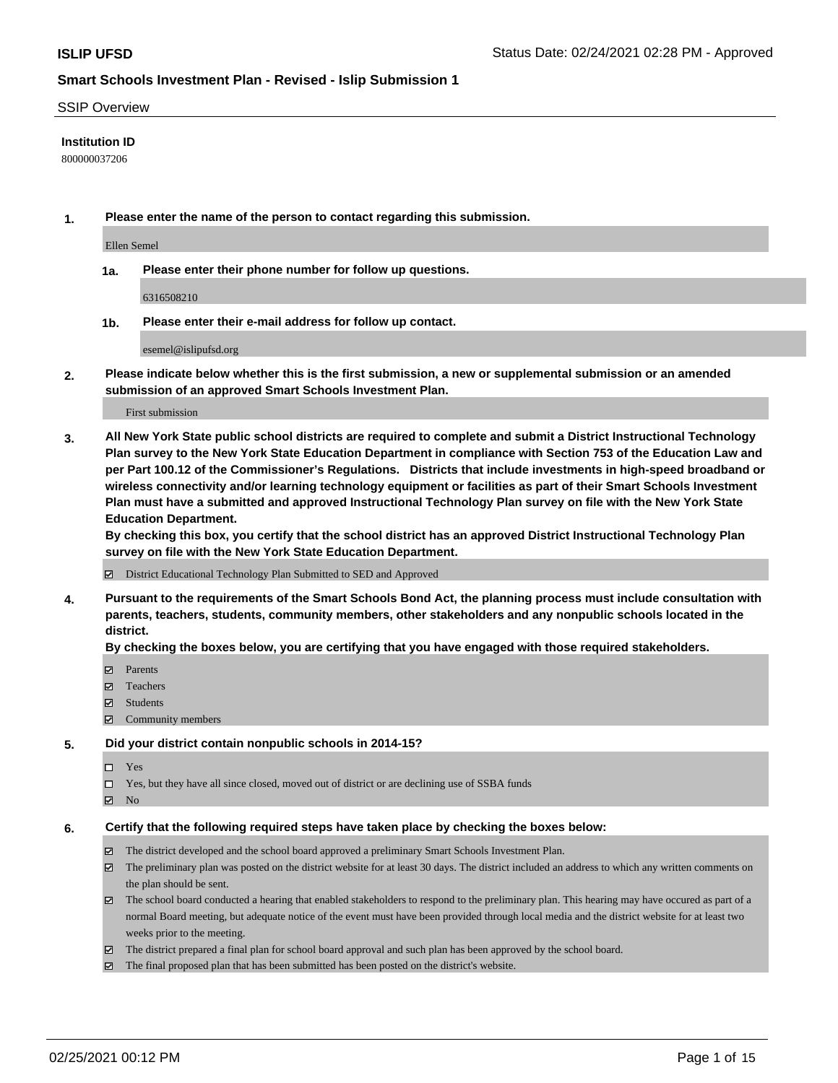### SSIP Overview

## **Institution ID**

800000037206

**1. Please enter the name of the person to contact regarding this submission.**

Ellen Semel

**1a. Please enter their phone number for follow up questions.**

6316508210

**1b. Please enter their e-mail address for follow up contact.**

esemel@islipufsd.org

**2. Please indicate below whether this is the first submission, a new or supplemental submission or an amended submission of an approved Smart Schools Investment Plan.**

### First submission

**3. All New York State public school districts are required to complete and submit a District Instructional Technology Plan survey to the New York State Education Department in compliance with Section 753 of the Education Law and per Part 100.12 of the Commissioner's Regulations. Districts that include investments in high-speed broadband or wireless connectivity and/or learning technology equipment or facilities as part of their Smart Schools Investment Plan must have a submitted and approved Instructional Technology Plan survey on file with the New York State Education Department.** 

**By checking this box, you certify that the school district has an approved District Instructional Technology Plan survey on file with the New York State Education Department.**

District Educational Technology Plan Submitted to SED and Approved

**4. Pursuant to the requirements of the Smart Schools Bond Act, the planning process must include consultation with parents, teachers, students, community members, other stakeholders and any nonpublic schools located in the district.** 

### **By checking the boxes below, you are certifying that you have engaged with those required stakeholders.**

- **Ø** Parents
- Teachers
- Students
- $\Xi$  Community members

#### **5. Did your district contain nonpublic schools in 2014-15?**

- □ Yes
- □ Yes, but they have all since closed, moved out of district or are declining use of SSBA funds
- **Ø** No

### **6. Certify that the following required steps have taken place by checking the boxes below:**

- The district developed and the school board approved a preliminary Smart Schools Investment Plan.
- The preliminary plan was posted on the district website for at least 30 days. The district included an address to which any written comments on the plan should be sent.
- The school board conducted a hearing that enabled stakeholders to respond to the preliminary plan. This hearing may have occured as part of a normal Board meeting, but adequate notice of the event must have been provided through local media and the district website for at least two weeks prior to the meeting.
- The district prepared a final plan for school board approval and such plan has been approved by the school board.
- $\boxtimes$  The final proposed plan that has been submitted has been posted on the district's website.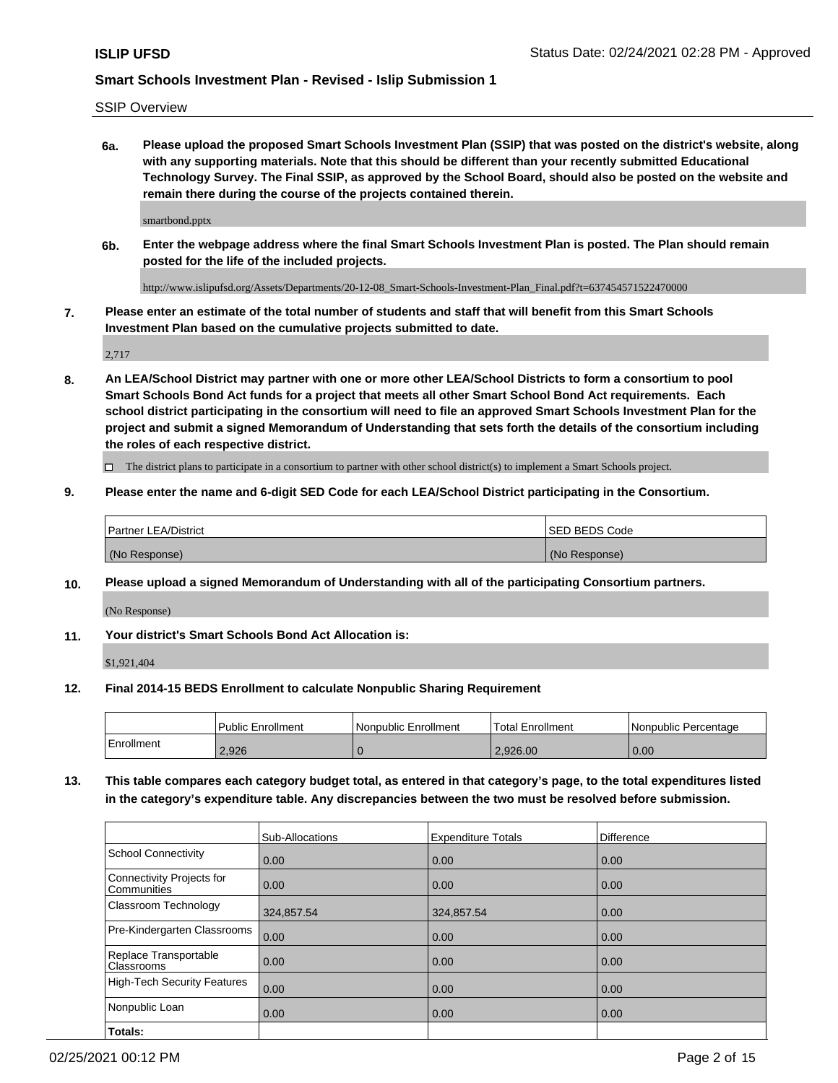SSIP Overview

**6a. Please upload the proposed Smart Schools Investment Plan (SSIP) that was posted on the district's website, along with any supporting materials. Note that this should be different than your recently submitted Educational Technology Survey. The Final SSIP, as approved by the School Board, should also be posted on the website and remain there during the course of the projects contained therein.**

smartbond.pptx

**6b. Enter the webpage address where the final Smart Schools Investment Plan is posted. The Plan should remain posted for the life of the included projects.**

http://www.islipufsd.org/Assets/Departments/20-12-08\_Smart-Schools-Investment-Plan\_Final.pdf?t=637454571522470000

**7. Please enter an estimate of the total number of students and staff that will benefit from this Smart Schools Investment Plan based on the cumulative projects submitted to date.**

2,717

**8. An LEA/School District may partner with one or more other LEA/School Districts to form a consortium to pool Smart Schools Bond Act funds for a project that meets all other Smart School Bond Act requirements. Each school district participating in the consortium will need to file an approved Smart Schools Investment Plan for the project and submit a signed Memorandum of Understanding that sets forth the details of the consortium including the roles of each respective district.**

 $\Box$  The district plans to participate in a consortium to partner with other school district(s) to implement a Smart Schools project.

## **9. Please enter the name and 6-digit SED Code for each LEA/School District participating in the Consortium.**

| Partner LEA/District | <b>ISED BEDS Code</b> |
|----------------------|-----------------------|
| (No Response)        | (No Response)         |

## **10. Please upload a signed Memorandum of Understanding with all of the participating Consortium partners.**

(No Response)

## **11. Your district's Smart Schools Bond Act Allocation is:**

\$1,921,404

#### **12. Final 2014-15 BEDS Enrollment to calculate Nonpublic Sharing Requirement**

|            | Public Enrollment | Nonpublic Enrollment | Total Enrollment | Nonpublic Percentage |
|------------|-------------------|----------------------|------------------|----------------------|
| Enrollment | 2.926             |                      | 2.926.00         | 0.00                 |

**13. This table compares each category budget total, as entered in that category's page, to the total expenditures listed in the category's expenditure table. Any discrepancies between the two must be resolved before submission.**

|                                          | Sub-Allocations | <b>Expenditure Totals</b> | Difference |
|------------------------------------------|-----------------|---------------------------|------------|
| <b>School Connectivity</b>               | 0.00            | 0.00                      | 0.00       |
| Connectivity Projects for<br>Communities | 0.00            | 0.00                      | 0.00       |
| Classroom Technology                     | 324,857.54      | 324,857.54                | 0.00       |
| Pre-Kindergarten Classrooms              | 0.00            | 0.00                      | 0.00       |
| Replace Transportable<br>Classrooms      | 0.00            | 0.00                      | 0.00       |
| <b>High-Tech Security Features</b>       | 0.00            | 0.00                      | 0.00       |
| Nonpublic Loan                           | 0.00            | 0.00                      | 0.00       |
| Totals:                                  |                 |                           |            |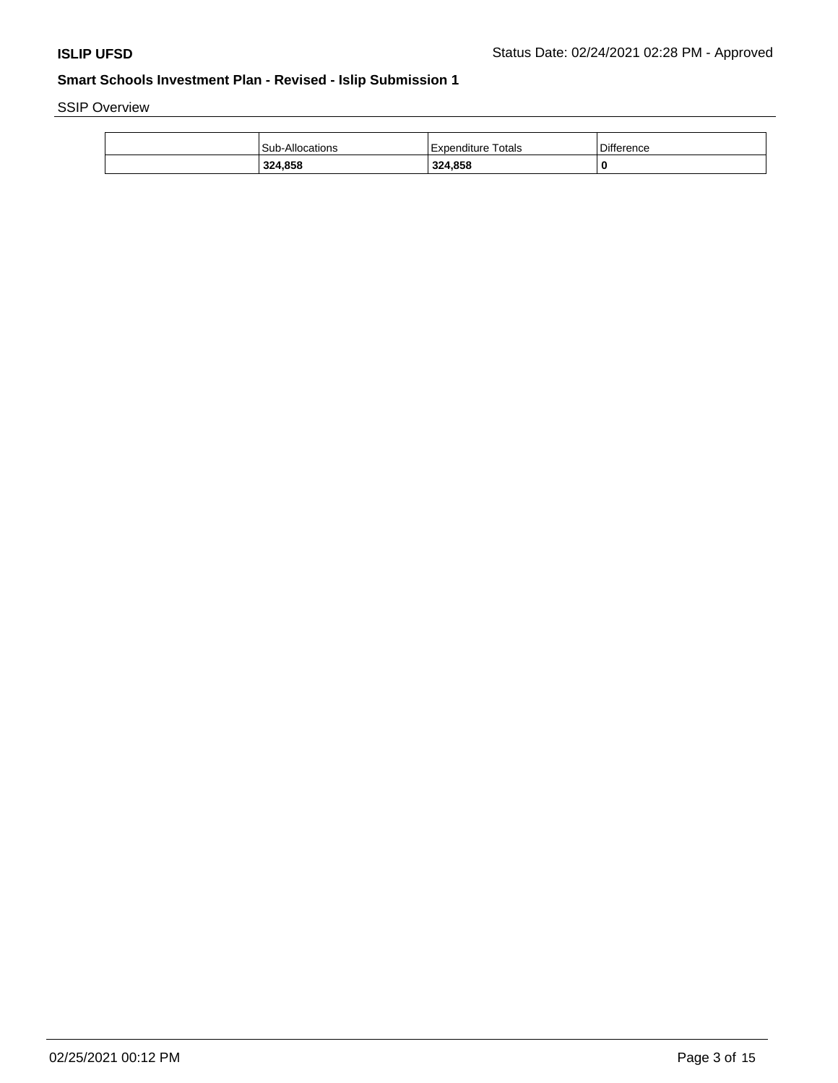SSIP Overview

|  | 324,858                | 324,858            | 0          |
|--|------------------------|--------------------|------------|
|  | <b>Sub-Allocations</b> | Expenditure Totals | Difference |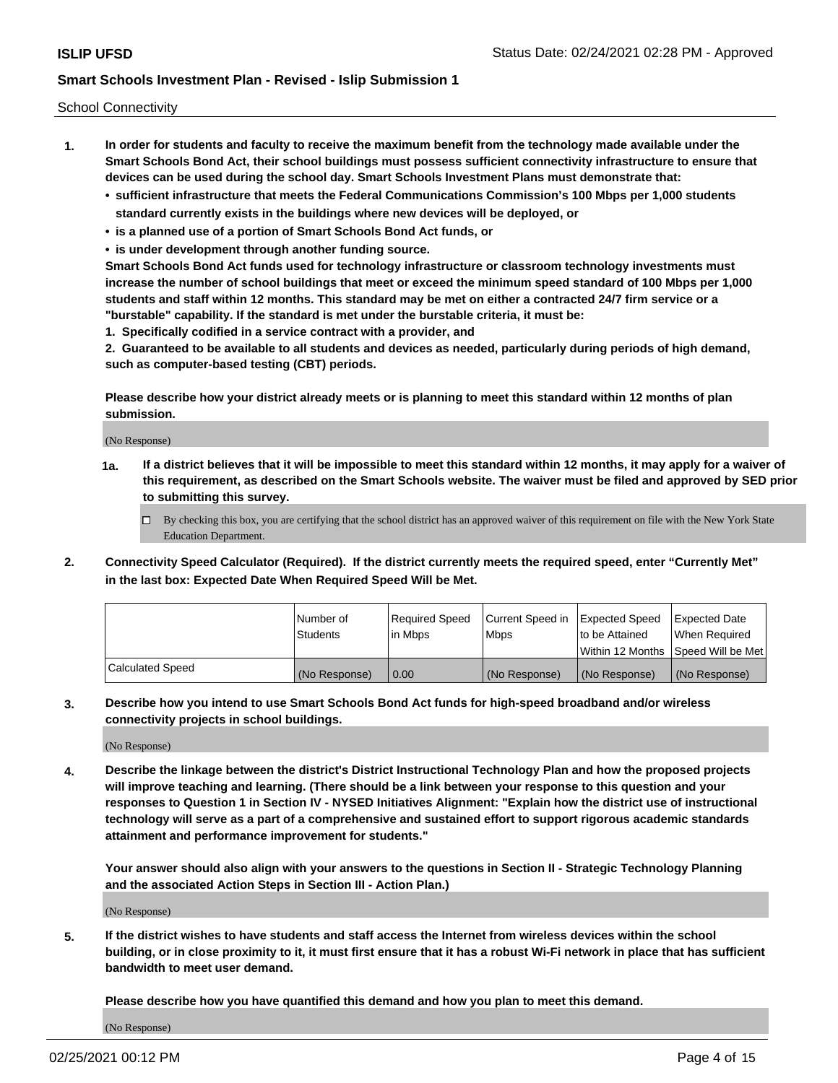School Connectivity

- **1. In order for students and faculty to receive the maximum benefit from the technology made available under the Smart Schools Bond Act, their school buildings must possess sufficient connectivity infrastructure to ensure that devices can be used during the school day. Smart Schools Investment Plans must demonstrate that:**
	- **• sufficient infrastructure that meets the Federal Communications Commission's 100 Mbps per 1,000 students standard currently exists in the buildings where new devices will be deployed, or**
	- **• is a planned use of a portion of Smart Schools Bond Act funds, or**
	- **• is under development through another funding source.**

**Smart Schools Bond Act funds used for technology infrastructure or classroom technology investments must increase the number of school buildings that meet or exceed the minimum speed standard of 100 Mbps per 1,000 students and staff within 12 months. This standard may be met on either a contracted 24/7 firm service or a "burstable" capability. If the standard is met under the burstable criteria, it must be:**

**1. Specifically codified in a service contract with a provider, and**

**2. Guaranteed to be available to all students and devices as needed, particularly during periods of high demand, such as computer-based testing (CBT) periods.**

**Please describe how your district already meets or is planning to meet this standard within 12 months of plan submission.**

(No Response)

**1a. If a district believes that it will be impossible to meet this standard within 12 months, it may apply for a waiver of this requirement, as described on the Smart Schools website. The waiver must be filed and approved by SED prior to submitting this survey.**

 $\Box$  By checking this box, you are certifying that the school district has an approved waiver of this requirement on file with the New York State Education Department.

**2. Connectivity Speed Calculator (Required). If the district currently meets the required speed, enter "Currently Met" in the last box: Expected Date When Required Speed Will be Met.**

|                  | l Number of     | Required Speed | Current Speed in | Expected Speed | Expected Date                        |
|------------------|-----------------|----------------|------------------|----------------|--------------------------------------|
|                  | <b>Students</b> | In Mbps        | <b>Mbps</b>      | to be Attained | When Required                        |
|                  |                 |                |                  |                | Within 12 Months 1Speed Will be Met1 |
| Calculated Speed | (No Response)   | 0.00           | (No Response)    | (No Response)  | l (No Response)                      |

**3. Describe how you intend to use Smart Schools Bond Act funds for high-speed broadband and/or wireless connectivity projects in school buildings.**

(No Response)

**4. Describe the linkage between the district's District Instructional Technology Plan and how the proposed projects will improve teaching and learning. (There should be a link between your response to this question and your responses to Question 1 in Section IV - NYSED Initiatives Alignment: "Explain how the district use of instructional technology will serve as a part of a comprehensive and sustained effort to support rigorous academic standards attainment and performance improvement for students."** 

**Your answer should also align with your answers to the questions in Section II - Strategic Technology Planning and the associated Action Steps in Section III - Action Plan.)**

(No Response)

**5. If the district wishes to have students and staff access the Internet from wireless devices within the school building, or in close proximity to it, it must first ensure that it has a robust Wi-Fi network in place that has sufficient bandwidth to meet user demand.**

**Please describe how you have quantified this demand and how you plan to meet this demand.**

(No Response)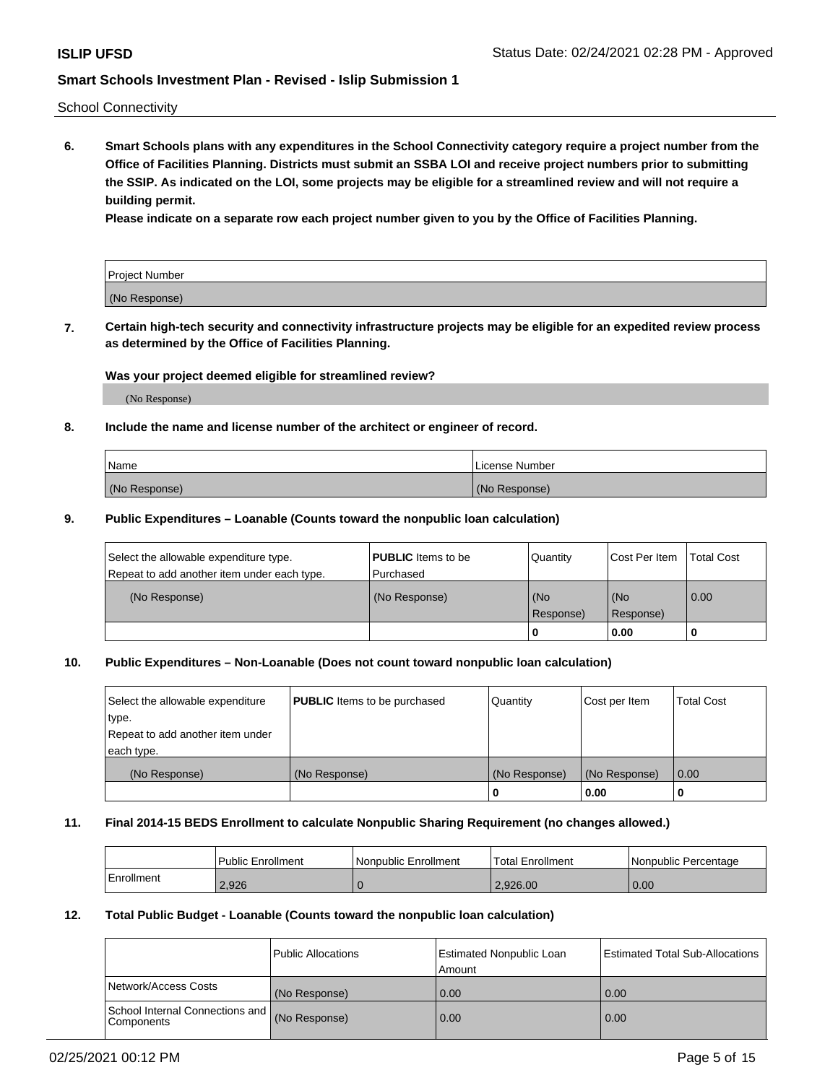School Connectivity

**6. Smart Schools plans with any expenditures in the School Connectivity category require a project number from the Office of Facilities Planning. Districts must submit an SSBA LOI and receive project numbers prior to submitting the SSIP. As indicated on the LOI, some projects may be eligible for a streamlined review and will not require a building permit.**

**Please indicate on a separate row each project number given to you by the Office of Facilities Planning.**

| Project Number |  |
|----------------|--|
| (No Response)  |  |

**7. Certain high-tech security and connectivity infrastructure projects may be eligible for an expedited review process as determined by the Office of Facilities Planning.**

## **Was your project deemed eligible for streamlined review?**

(No Response)

## **8. Include the name and license number of the architect or engineer of record.**

| Name          | License Number |
|---------------|----------------|
| (No Response) | (No Response)  |

## **9. Public Expenditures – Loanable (Counts toward the nonpublic loan calculation)**

| Select the allowable expenditure type.<br>Repeat to add another item under each type. | <b>PUBLIC</b> Items to be<br>l Purchased | Quantity           | Cost Per Item    | <b>Total Cost</b> |
|---------------------------------------------------------------------------------------|------------------------------------------|--------------------|------------------|-------------------|
| (No Response)                                                                         | (No Response)                            | l (No<br>Response) | (No<br>Response) | $\overline{0.00}$ |
|                                                                                       |                                          | O                  | 0.00             |                   |

# **10. Public Expenditures – Non-Loanable (Does not count toward nonpublic loan calculation)**

| Select the allowable expenditure<br>type.<br>Repeat to add another item under<br>each type. | <b>PUBLIC</b> Items to be purchased | Quantity      | Cost per Item | <b>Total Cost</b> |
|---------------------------------------------------------------------------------------------|-------------------------------------|---------------|---------------|-------------------|
| (No Response)                                                                               | (No Response)                       | (No Response) | (No Response) | 0.00              |
|                                                                                             |                                     |               | 0.00          |                   |

#### **11. Final 2014-15 BEDS Enrollment to calculate Nonpublic Sharing Requirement (no changes allowed.)**

|            | Public Enrollment | <b>Nonpublic Enrollment</b> | Total Enrollment | l Nonpublic Percentage |
|------------|-------------------|-----------------------------|------------------|------------------------|
| Enrollment | 2,926             |                             | 2.926.00         | 0.00                   |

## **12. Total Public Budget - Loanable (Counts toward the nonpublic loan calculation)**

|                                                      | Public Allocations | <b>Estimated Nonpublic Loan</b><br>Amount | Estimated Total Sub-Allocations |
|------------------------------------------------------|--------------------|-------------------------------------------|---------------------------------|
| Network/Access Costs                                 | (No Response)      | 0.00                                      | 0.00                            |
| School Internal Connections and<br><b>Components</b> | (No Response)      | 0.00                                      | 0.00                            |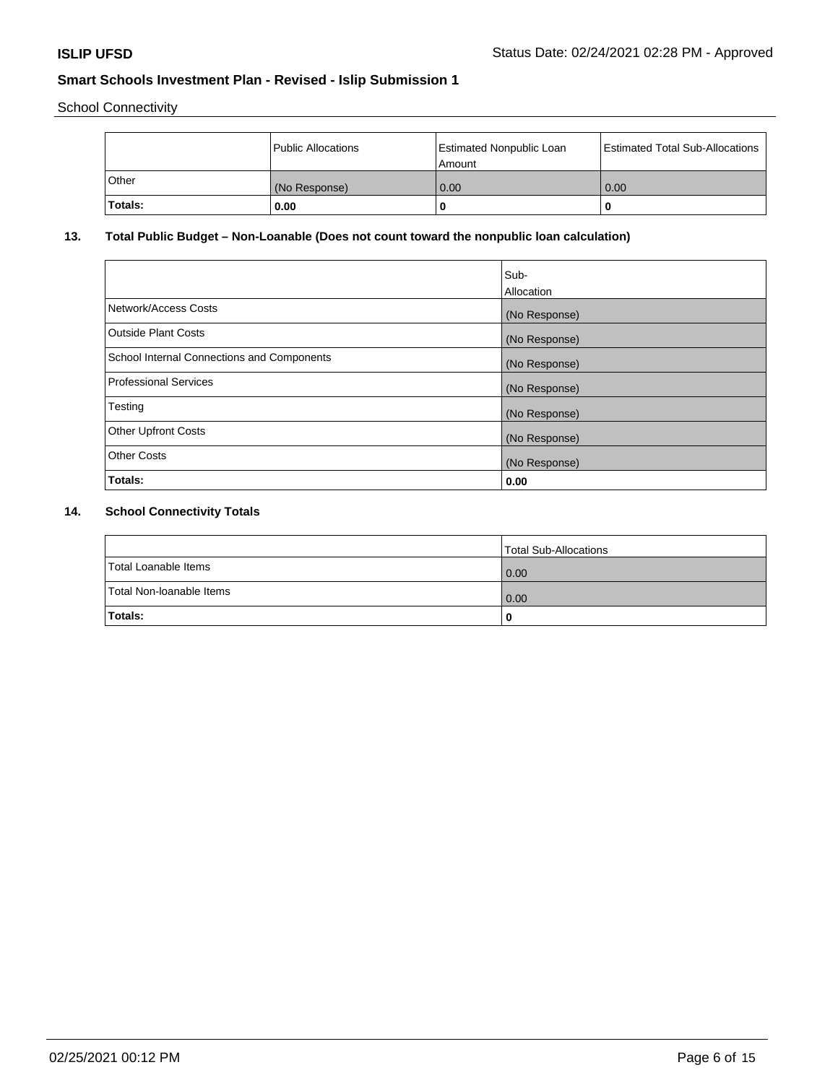School Connectivity

|         | Public Allocations | <b>Estimated Nonpublic Loan</b><br>l Amount | Estimated Total Sub-Allocations |
|---------|--------------------|---------------------------------------------|---------------------------------|
| l Other | (No Response)      | 0.00                                        | 0.00                            |
| Totals: | 0.00               | 0                                           |                                 |

# **13. Total Public Budget – Non-Loanable (Does not count toward the nonpublic loan calculation)**

|                                                   | Sub-<br>Allocation |
|---------------------------------------------------|--------------------|
| Network/Access Costs                              | (No Response)      |
| Outside Plant Costs                               | (No Response)      |
| <b>School Internal Connections and Components</b> | (No Response)      |
| Professional Services                             | (No Response)      |
| Testing                                           | (No Response)      |
| <b>Other Upfront Costs</b>                        | (No Response)      |
| <b>Other Costs</b>                                | (No Response)      |
| Totals:                                           | 0.00               |

# **14. School Connectivity Totals**

|                          | Total Sub-Allocations |
|--------------------------|-----------------------|
| Total Loanable Items     | 0.00                  |
| Total Non-Ioanable Items | 0.00                  |
| Totals:                  | 0                     |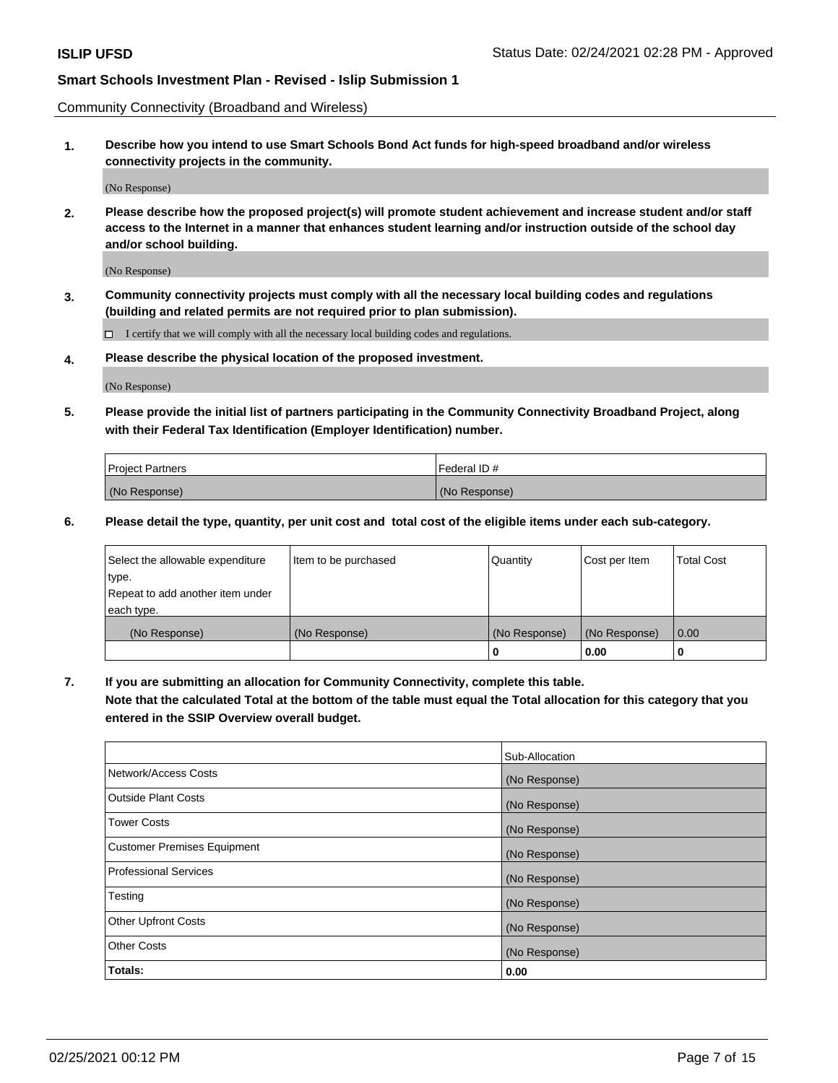Community Connectivity (Broadband and Wireless)

**1. Describe how you intend to use Smart Schools Bond Act funds for high-speed broadband and/or wireless connectivity projects in the community.**

(No Response)

**2. Please describe how the proposed project(s) will promote student achievement and increase student and/or staff access to the Internet in a manner that enhances student learning and/or instruction outside of the school day and/or school building.**

(No Response)

**3. Community connectivity projects must comply with all the necessary local building codes and regulations (building and related permits are not required prior to plan submission).**

 $\Box$  I certify that we will comply with all the necessary local building codes and regulations.

**4. Please describe the physical location of the proposed investment.**

(No Response)

**5. Please provide the initial list of partners participating in the Community Connectivity Broadband Project, along with their Federal Tax Identification (Employer Identification) number.**

| <b>Project Partners</b> | l Federal ID # |
|-------------------------|----------------|
| (No Response)           | (No Response)  |

**6. Please detail the type, quantity, per unit cost and total cost of the eligible items under each sub-category.**

| Select the allowable expenditure | Item to be purchased | Quantity      | Cost per Item | <b>Total Cost</b> |
|----------------------------------|----------------------|---------------|---------------|-------------------|
| type.                            |                      |               |               |                   |
| Repeat to add another item under |                      |               |               |                   |
| each type.                       |                      |               |               |                   |
| (No Response)                    | (No Response)        | (No Response) | (No Response) | 0.00              |
|                                  |                      | o             | 0.00          |                   |

**7. If you are submitting an allocation for Community Connectivity, complete this table.**

**Note that the calculated Total at the bottom of the table must equal the Total allocation for this category that you entered in the SSIP Overview overall budget.**

|                                    | Sub-Allocation |
|------------------------------------|----------------|
| Network/Access Costs               | (No Response)  |
| <b>Outside Plant Costs</b>         | (No Response)  |
| <b>Tower Costs</b>                 | (No Response)  |
| <b>Customer Premises Equipment</b> | (No Response)  |
| <b>Professional Services</b>       | (No Response)  |
| Testing                            | (No Response)  |
| <b>Other Upfront Costs</b>         | (No Response)  |
| <b>Other Costs</b>                 | (No Response)  |
| Totals:                            | 0.00           |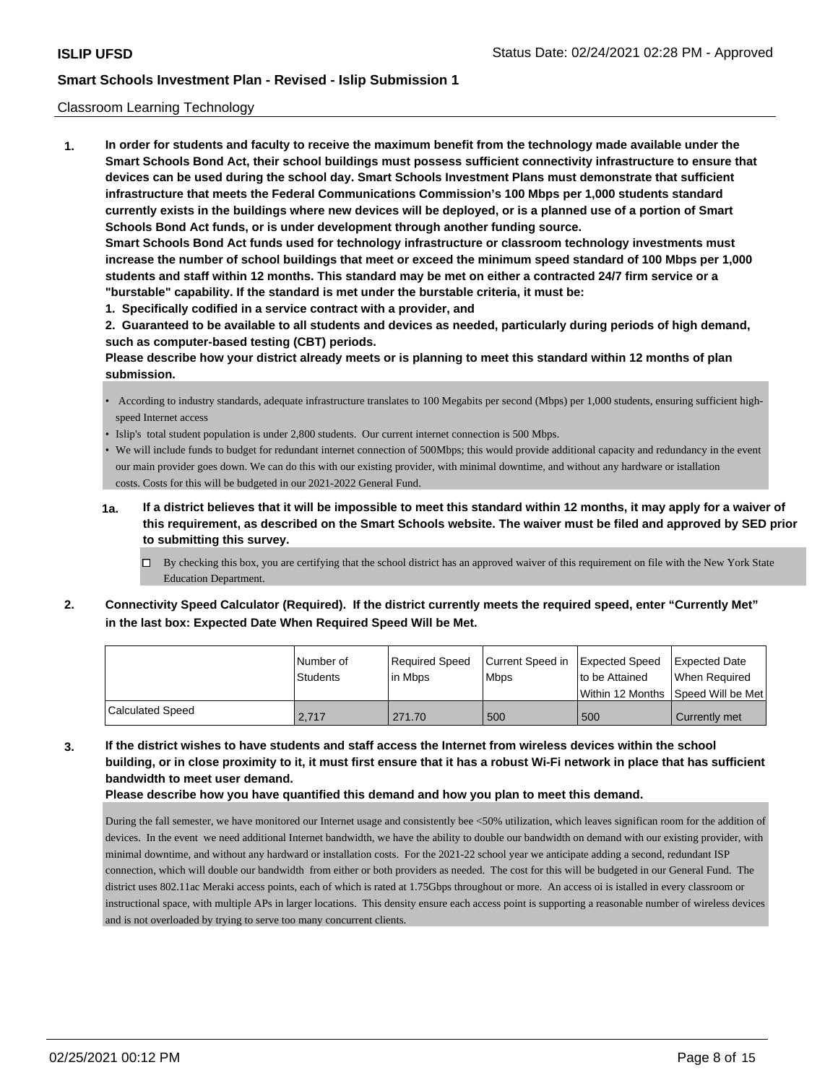## Classroom Learning Technology

**1. In order for students and faculty to receive the maximum benefit from the technology made available under the Smart Schools Bond Act, their school buildings must possess sufficient connectivity infrastructure to ensure that devices can be used during the school day. Smart Schools Investment Plans must demonstrate that sufficient infrastructure that meets the Federal Communications Commission's 100 Mbps per 1,000 students standard currently exists in the buildings where new devices will be deployed, or is a planned use of a portion of Smart Schools Bond Act funds, or is under development through another funding source. Smart Schools Bond Act funds used for technology infrastructure or classroom technology investments must increase the number of school buildings that meet or exceed the minimum speed standard of 100 Mbps per 1,000 students and staff within 12 months. This standard may be met on either a contracted 24/7 firm service or a "burstable" capability. If the standard is met under the burstable criteria, it must be:**

**1. Specifically codified in a service contract with a provider, and**

**2. Guaranteed to be available to all students and devices as needed, particularly during periods of high demand, such as computer-based testing (CBT) periods.**

**Please describe how your district already meets or is planning to meet this standard within 12 months of plan submission.**

- According to industry standards, adequate infrastructure translates to 100 Megabits per second (Mbps) per 1,000 students, ensuring sufficient highspeed Internet access
- Islip's total student population is under 2,800 students. Our current internet connection is 500 Mbps.
- We will include funds to budget for redundant internet connection of 500Mbps; this would provide additional capacity and redundancy in the event our main provider goes down. We can do this with our existing provider, with minimal downtime, and without any hardware or istallation costs. Costs for this will be budgeted in our 2021-2022 General Fund.
- **1a. If a district believes that it will be impossible to meet this standard within 12 months, it may apply for a waiver of this requirement, as described on the Smart Schools website. The waiver must be filed and approved by SED prior to submitting this survey.**
	- $\Box$  By checking this box, you are certifying that the school district has an approved waiver of this requirement on file with the New York State Education Department.
- **2. Connectivity Speed Calculator (Required). If the district currently meets the required speed, enter "Currently Met" in the last box: Expected Date When Required Speed Will be Met.**

|                  | l Number of     | Required Speed | Current Speed in Expected Speed | to be Attained                      | Expected Date |
|------------------|-----------------|----------------|---------------------------------|-------------------------------------|---------------|
|                  | <b>Students</b> | l in Mbps      | <b>Mbps</b>                     | Within 12 Months ISpeed Will be Met | When Required |
| Calculated Speed | 2.717           | 271.70         | 500                             | 500                                 | Currently met |

**3. If the district wishes to have students and staff access the Internet from wireless devices within the school building, or in close proximity to it, it must first ensure that it has a robust Wi-Fi network in place that has sufficient bandwidth to meet user demand.**

**Please describe how you have quantified this demand and how you plan to meet this demand.**

During the fall semester, we have monitored our Internet usage and consistently bee <50% utilization, which leaves significan room for the addition of devices. In the event we need additional Internet bandwidth, we have the ability to double our bandwidth on demand with our existing provider, with minimal downtime, and without any hardward or installation costs. For the 2021-22 school year we anticipate adding a second, redundant ISP connection, which will double our bandwidth from either or both providers as needed. The cost for this will be budgeted in our General Fund. The district uses 802.11ac Meraki access points, each of which is rated at 1.75Gbps throughout or more. An access oi is istalled in every classroom or instructional space, with multiple APs in larger locations. This density ensure each access point is supporting a reasonable number of wireless devices and is not overloaded by trying to serve too many concurrent clients.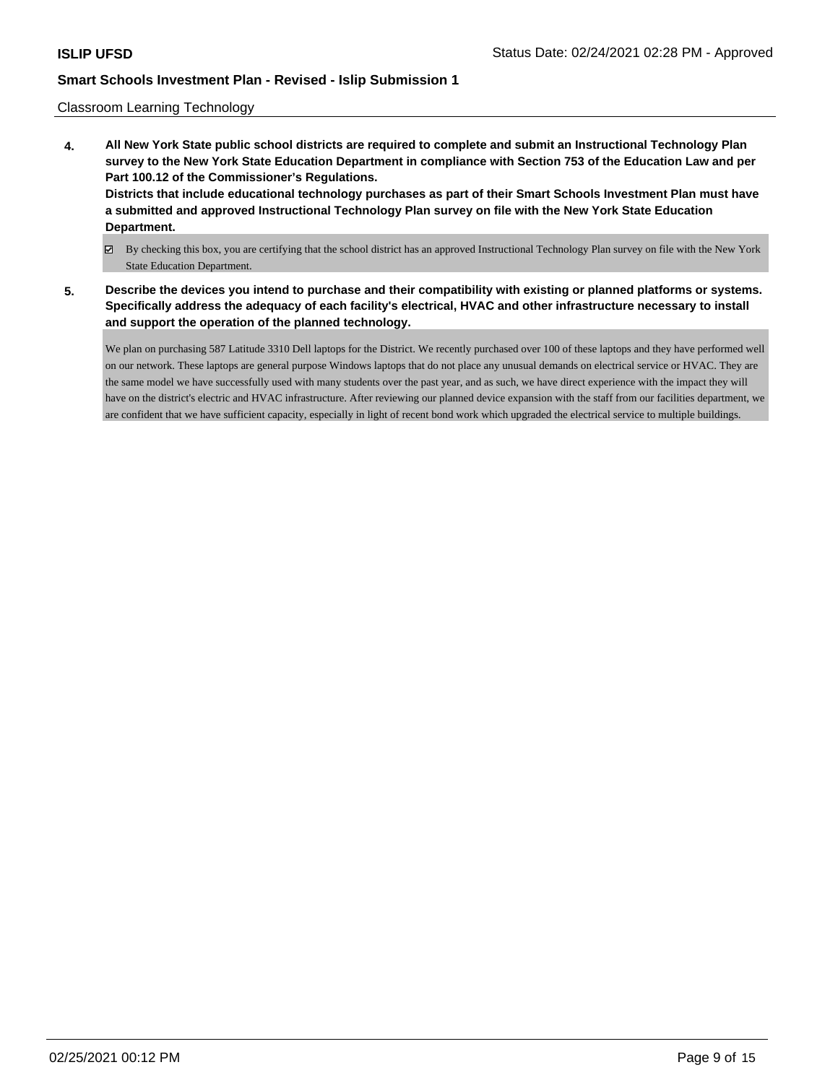## Classroom Learning Technology

- **4. All New York State public school districts are required to complete and submit an Instructional Technology Plan survey to the New York State Education Department in compliance with Section 753 of the Education Law and per Part 100.12 of the Commissioner's Regulations. Districts that include educational technology purchases as part of their Smart Schools Investment Plan must have a submitted and approved Instructional Technology Plan survey on file with the New York State Education Department.**
	- By checking this box, you are certifying that the school district has an approved Instructional Technology Plan survey on file with the New York State Education Department.
- **5. Describe the devices you intend to purchase and their compatibility with existing or planned platforms or systems. Specifically address the adequacy of each facility's electrical, HVAC and other infrastructure necessary to install and support the operation of the planned technology.**

We plan on purchasing 587 Latitude 3310 Dell laptops for the District. We recently purchased over 100 of these laptops and they have performed well on our network. These laptops are general purpose Windows laptops that do not place any unusual demands on electrical service or HVAC. They are the same model we have successfully used with many students over the past year, and as such, we have direct experience with the impact they will have on the district's electric and HVAC infrastructure. After reviewing our planned device expansion with the staff from our facilities department, we are confident that we have sufficient capacity, especially in light of recent bond work which upgraded the electrical service to multiple buildings.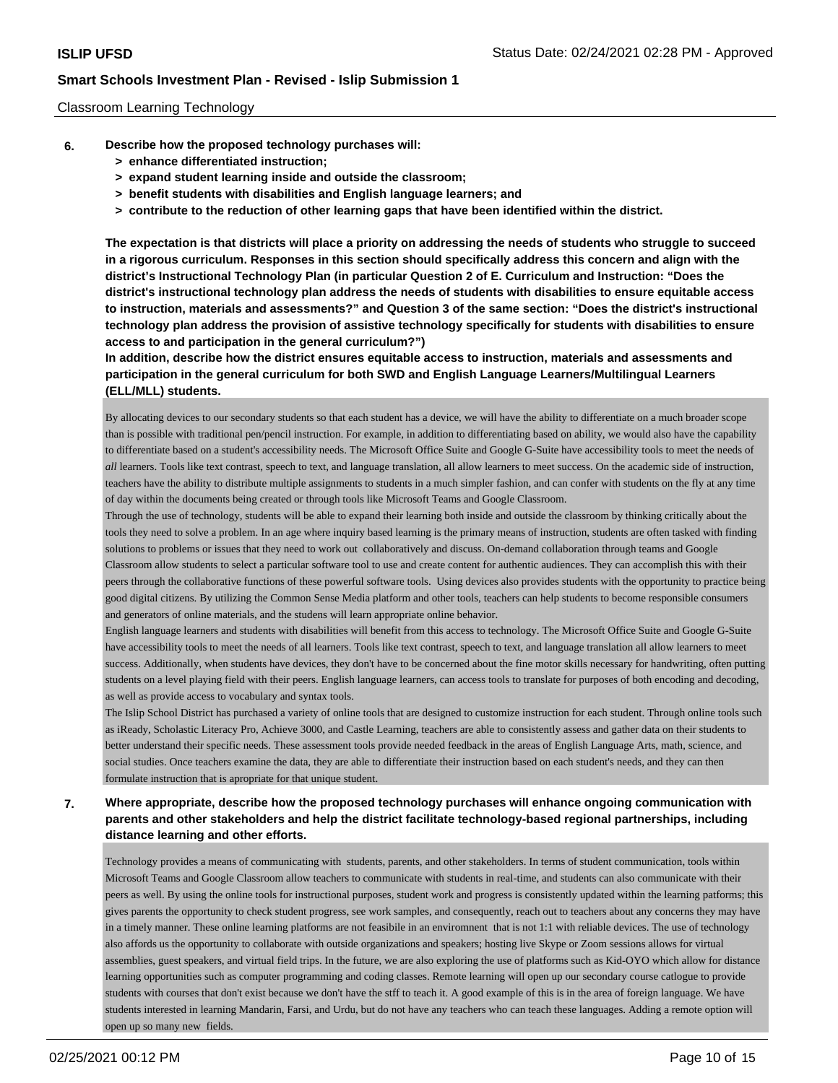### Classroom Learning Technology

- **6. Describe how the proposed technology purchases will:**
	- **> enhance differentiated instruction;**
	- **> expand student learning inside and outside the classroom;**
	- **> benefit students with disabilities and English language learners; and**
	- **> contribute to the reduction of other learning gaps that have been identified within the district.**

**The expectation is that districts will place a priority on addressing the needs of students who struggle to succeed in a rigorous curriculum. Responses in this section should specifically address this concern and align with the district's Instructional Technology Plan (in particular Question 2 of E. Curriculum and Instruction: "Does the district's instructional technology plan address the needs of students with disabilities to ensure equitable access to instruction, materials and assessments?" and Question 3 of the same section: "Does the district's instructional technology plan address the provision of assistive technology specifically for students with disabilities to ensure access to and participation in the general curriculum?")**

**In addition, describe how the district ensures equitable access to instruction, materials and assessments and participation in the general curriculum for both SWD and English Language Learners/Multilingual Learners (ELL/MLL) students.**

By allocating devices to our secondary students so that each student has a device, we will have the ability to differentiate on a much broader scope than is possible with traditional pen/pencil instruction. For example, in addition to differentiating based on ability, we would also have the capability to differentiate based on a student's accessibility needs. The Microsoft Office Suite and Google G-Suite have accessibility tools to meet the needs of *all* learners. Tools like text contrast, speech to text, and language translation, all allow learners to meet success. On the academic side of instruction, teachers have the ability to distribute multiple assignments to students in a much simpler fashion, and can confer with students on the fly at any time of day within the documents being created or through tools like Microsoft Teams and Google Classroom.

Through the use of technology, students will be able to expand their learning both inside and outside the classroom by thinking critically about the tools they need to solve a problem. In an age where inquiry based learning is the primary means of instruction, students are often tasked with finding solutions to problems or issues that they need to work out collaboratively and discuss. On-demand collaboration through teams and Google Classroom allow students to select a particular software tool to use and create content for authentic audiences. They can accomplish this with their peers through the collaborative functions of these powerful software tools. Using devices also provides students with the opportunity to practice being good digital citizens. By utilizing the Common Sense Media platform and other tools, teachers can help students to become responsible consumers and generators of online materials, and the studens will learn appropriate online behavior.

English language learners and students with disabilities will benefit from this access to technology. The Microsoft Office Suite and Google G-Suite have accessibility tools to meet the needs of all learners. Tools like text contrast, speech to text, and language translation all allow learners to meet success. Additionally, when students have devices, they don't have to be concerned about the fine motor skills necessary for handwriting, often putting students on a level playing field with their peers. English language learners, can access tools to translate for purposes of both encoding and decoding, as well as provide access to vocabulary and syntax tools.

The Islip School District has purchased a variety of online tools that are designed to customize instruction for each student. Through online tools such as iReady, Scholastic Literacy Pro, Achieve 3000, and Castle Learning, teachers are able to consistently assess and gather data on their students to better understand their specific needs. These assessment tools provide needed feedback in the areas of English Language Arts, math, science, and social studies. Once teachers examine the data, they are able to differentiate their instruction based on each student's needs, and they can then formulate instruction that is apropriate for that unique student.

# **7. Where appropriate, describe how the proposed technology purchases will enhance ongoing communication with parents and other stakeholders and help the district facilitate technology-based regional partnerships, including distance learning and other efforts.**

Technology provides a means of communicating with students, parents, and other stakeholders. In terms of student communication, tools within Microsoft Teams and Google Classroom allow teachers to communicate with students in real-time, and students can also communicate with their peers as well. By using the online tools for instructional purposes, student work and progress is consistently updated within the learning patforms; this gives parents the opportunity to check student progress, see work samples, and consequently, reach out to teachers about any concerns they may have in a timely manner. These online learning platforms are not feasibile in an enviromnent that is not 1:1 with reliable devices. The use of technology also affords us the opportunity to collaborate with outside organizations and speakers; hosting live Skype or Zoom sessions allows for virtual assemblies, guest speakers, and virtual field trips. In the future, we are also exploring the use of platforms such as Kid-OYO which allow for distance learning opportunities such as computer programming and coding classes. Remote learning will open up our secondary course catlogue to provide students with courses that don't exist because we don't have the stff to teach it. A good example of this is in the area of foreign language. We have students interested in learning Mandarin, Farsi, and Urdu, but do not have any teachers who can teach these languages. Adding a remote option will open up so many new fields.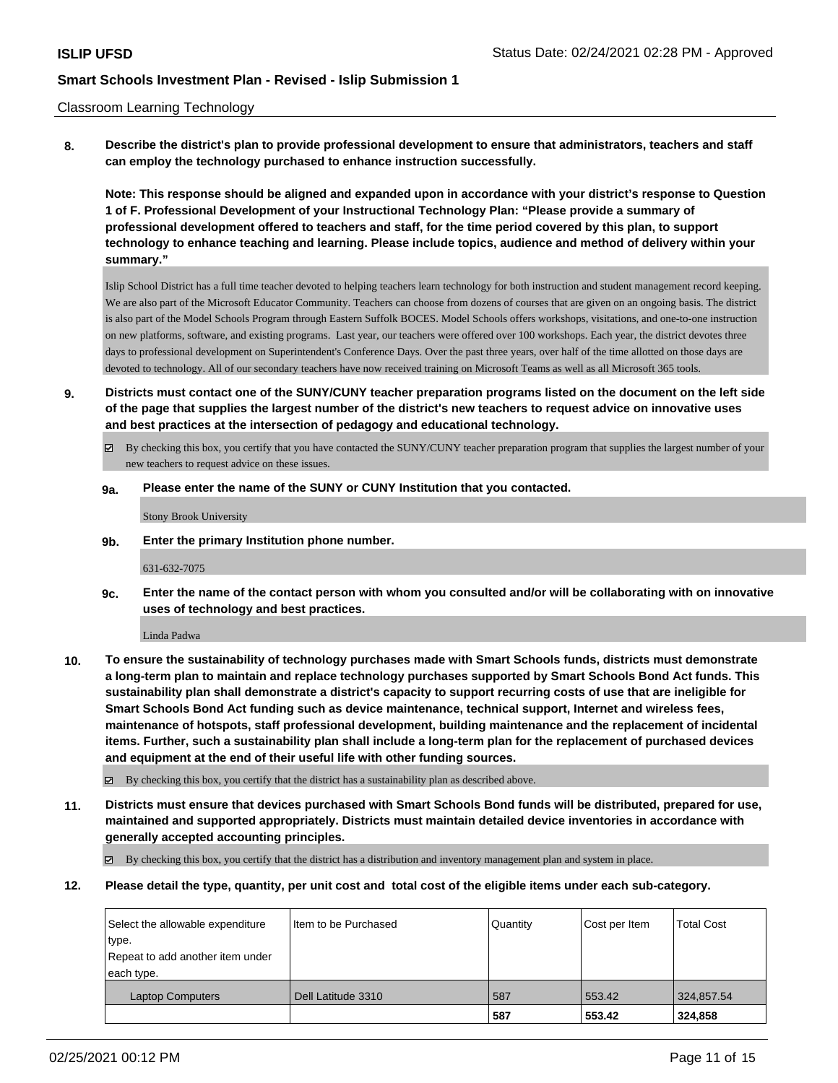### Classroom Learning Technology

**8. Describe the district's plan to provide professional development to ensure that administrators, teachers and staff can employ the technology purchased to enhance instruction successfully.**

**Note: This response should be aligned and expanded upon in accordance with your district's response to Question 1 of F. Professional Development of your Instructional Technology Plan: "Please provide a summary of professional development offered to teachers and staff, for the time period covered by this plan, to support technology to enhance teaching and learning. Please include topics, audience and method of delivery within your summary."**

Islip School District has a full time teacher devoted to helping teachers learn technology for both instruction and student management record keeping. We are also part of the Microsoft Educator Community. Teachers can choose from dozens of courses that are given on an ongoing basis. The district is also part of the Model Schools Program through Eastern Suffolk BOCES. Model Schools offers workshops, visitations, and one-to-one instruction on new platforms, software, and existing programs. Last year, our teachers were offered over 100 workshops. Each year, the district devotes three days to professional development on Superintendent's Conference Days. Over the past three years, over half of the time allotted on those days are devoted to technology. All of our secondary teachers have now received training on Microsoft Teams as well as all Microsoft 365 tools.

- **9. Districts must contact one of the SUNY/CUNY teacher preparation programs listed on the document on the left side of the page that supplies the largest number of the district's new teachers to request advice on innovative uses and best practices at the intersection of pedagogy and educational technology.**
	- $\boxtimes$  By checking this box, you certify that you have contacted the SUNY/CUNY teacher preparation program that supplies the largest number of your new teachers to request advice on these issues.

#### **9a. Please enter the name of the SUNY or CUNY Institution that you contacted.**

Stony Brook University

**9b. Enter the primary Institution phone number.**

631-632-7075

**9c. Enter the name of the contact person with whom you consulted and/or will be collaborating with on innovative uses of technology and best practices.**

Linda Padwa

**10. To ensure the sustainability of technology purchases made with Smart Schools funds, districts must demonstrate a long-term plan to maintain and replace technology purchases supported by Smart Schools Bond Act funds. This sustainability plan shall demonstrate a district's capacity to support recurring costs of use that are ineligible for Smart Schools Bond Act funding such as device maintenance, technical support, Internet and wireless fees, maintenance of hotspots, staff professional development, building maintenance and the replacement of incidental items. Further, such a sustainability plan shall include a long-term plan for the replacement of purchased devices and equipment at the end of their useful life with other funding sources.**

By checking this box, you certify that the district has a sustainability plan as described above.

**11. Districts must ensure that devices purchased with Smart Schools Bond funds will be distributed, prepared for use, maintained and supported appropriately. Districts must maintain detailed device inventories in accordance with generally accepted accounting principles.**

 $\boxtimes$  By checking this box, you certify that the district has a distribution and inventory management plan and system in place.

**12. Please detail the type, quantity, per unit cost and total cost of the eligible items under each sub-category.**

| Select the allowable expenditure | Iltem to be Purchased | Quantity | Cost per Item | <b>Total Cost</b> |
|----------------------------------|-----------------------|----------|---------------|-------------------|
| type.                            |                       |          |               |                   |
| Repeat to add another item under |                       |          |               |                   |
| each type.                       |                       |          |               |                   |
| <b>Laptop Computers</b>          | Dell Latitude 3310    | 587      | 553.42        | 324,857.54        |
|                                  |                       | 587      | 553.42        | 324,858           |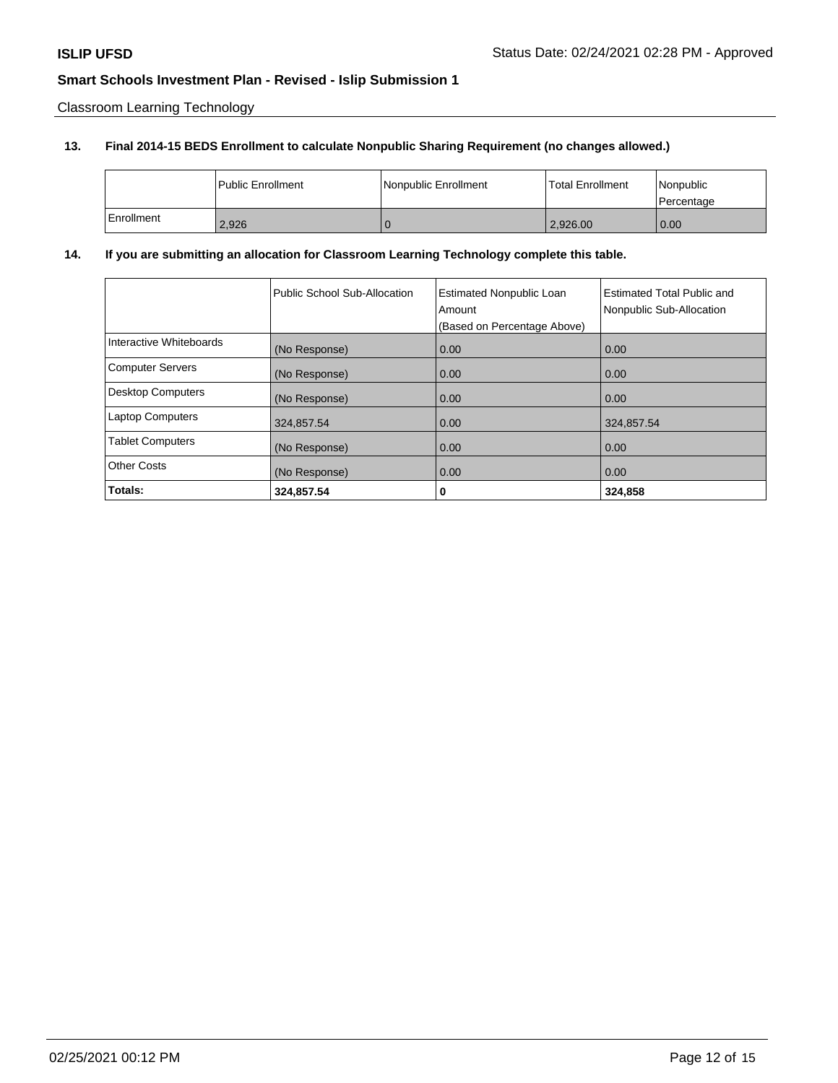Classroom Learning Technology

# **13. Final 2014-15 BEDS Enrollment to calculate Nonpublic Sharing Requirement (no changes allowed.)**

|            | l Public Enrollment | Nonpublic Enrollment | <b>Total Enrollment</b> | Nonpublic<br>l Percentage |
|------------|---------------------|----------------------|-------------------------|---------------------------|
| Enrollment | 2,926               |                      | 2,926.00                | 0.00                      |

# **14. If you are submitting an allocation for Classroom Learning Technology complete this table.**

|                          | Public School Sub-Allocation | <b>Estimated Nonpublic Loan</b><br>Amount<br>(Based on Percentage Above) | <b>Estimated Total Public and</b><br>Nonpublic Sub-Allocation |
|--------------------------|------------------------------|--------------------------------------------------------------------------|---------------------------------------------------------------|
| Interactive Whiteboards  | (No Response)                | 0.00                                                                     | 0.00                                                          |
| <b>Computer Servers</b>  | (No Response)                | 0.00                                                                     | 0.00                                                          |
| <b>Desktop Computers</b> | (No Response)                | 0.00                                                                     | 0.00                                                          |
| <b>Laptop Computers</b>  | 324,857.54                   | 0.00                                                                     | 324,857.54                                                    |
| <b>Tablet Computers</b>  | (No Response)                | 0.00                                                                     | 0.00                                                          |
| <b>Other Costs</b>       | (No Response)                | 0.00                                                                     | 0.00                                                          |
| Totals:                  | 324,857.54                   | 0                                                                        | 324,858                                                       |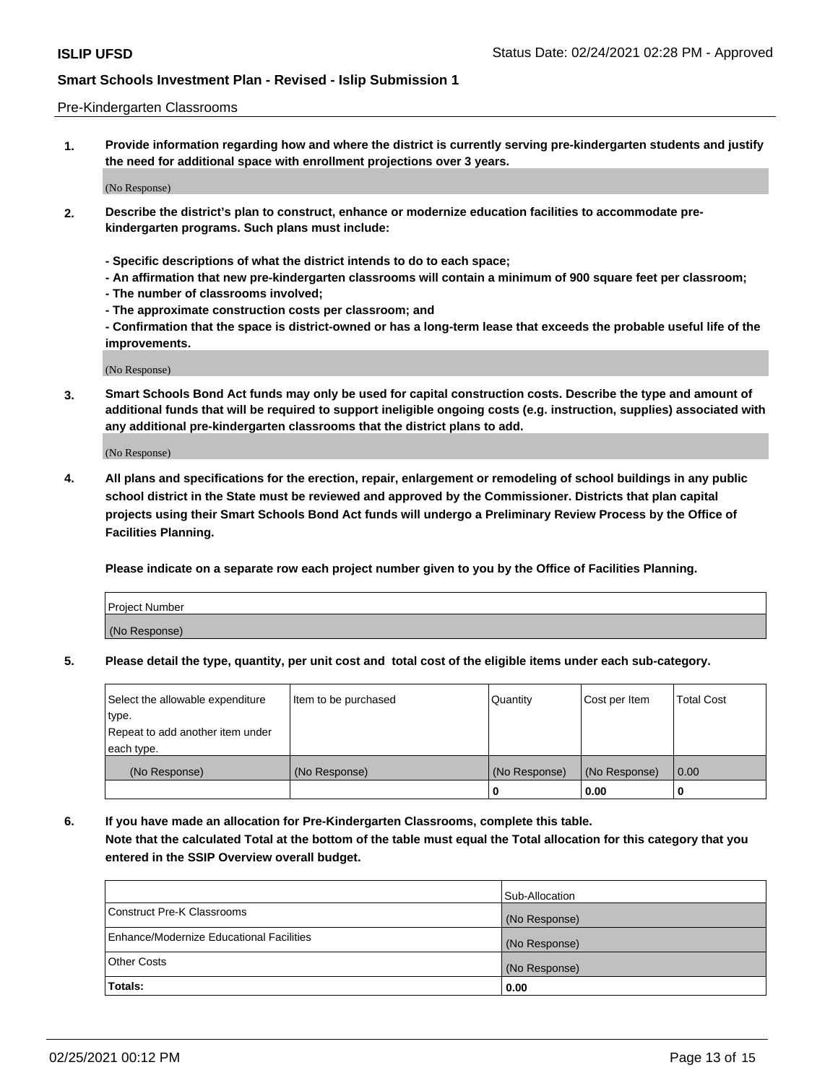### Pre-Kindergarten Classrooms

**1. Provide information regarding how and where the district is currently serving pre-kindergarten students and justify the need for additional space with enrollment projections over 3 years.**

(No Response)

- **2. Describe the district's plan to construct, enhance or modernize education facilities to accommodate prekindergarten programs. Such plans must include:**
	- **Specific descriptions of what the district intends to do to each space;**
	- **An affirmation that new pre-kindergarten classrooms will contain a minimum of 900 square feet per classroom;**
	- **The number of classrooms involved;**
	- **The approximate construction costs per classroom; and**
	- **Confirmation that the space is district-owned or has a long-term lease that exceeds the probable useful life of the improvements.**

(No Response)

**3. Smart Schools Bond Act funds may only be used for capital construction costs. Describe the type and amount of additional funds that will be required to support ineligible ongoing costs (e.g. instruction, supplies) associated with any additional pre-kindergarten classrooms that the district plans to add.**

(No Response)

**4. All plans and specifications for the erection, repair, enlargement or remodeling of school buildings in any public school district in the State must be reviewed and approved by the Commissioner. Districts that plan capital projects using their Smart Schools Bond Act funds will undergo a Preliminary Review Process by the Office of Facilities Planning.**

**Please indicate on a separate row each project number given to you by the Office of Facilities Planning.**

| Project Number |  |
|----------------|--|
| (No Response)  |  |
|                |  |

**5. Please detail the type, quantity, per unit cost and total cost of the eligible items under each sub-category.**

| Select the allowable expenditure | Item to be purchased | Quantity      | Cost per Item | <b>Total Cost</b> |
|----------------------------------|----------------------|---------------|---------------|-------------------|
| type.                            |                      |               |               |                   |
| Repeat to add another item under |                      |               |               |                   |
| each type.                       |                      |               |               |                   |
| (No Response)                    | (No Response)        | (No Response) | (No Response) | 0.00              |
|                                  |                      | υ             | 0.00          |                   |

**6. If you have made an allocation for Pre-Kindergarten Classrooms, complete this table. Note that the calculated Total at the bottom of the table must equal the Total allocation for this category that you entered in the SSIP Overview overall budget.**

| Totals:                                  | 0.00           |
|------------------------------------------|----------------|
| <b>Other Costs</b>                       | (No Response)  |
| Enhance/Modernize Educational Facilities | (No Response)  |
| Construct Pre-K Classrooms               | (No Response)  |
|                                          | Sub-Allocation |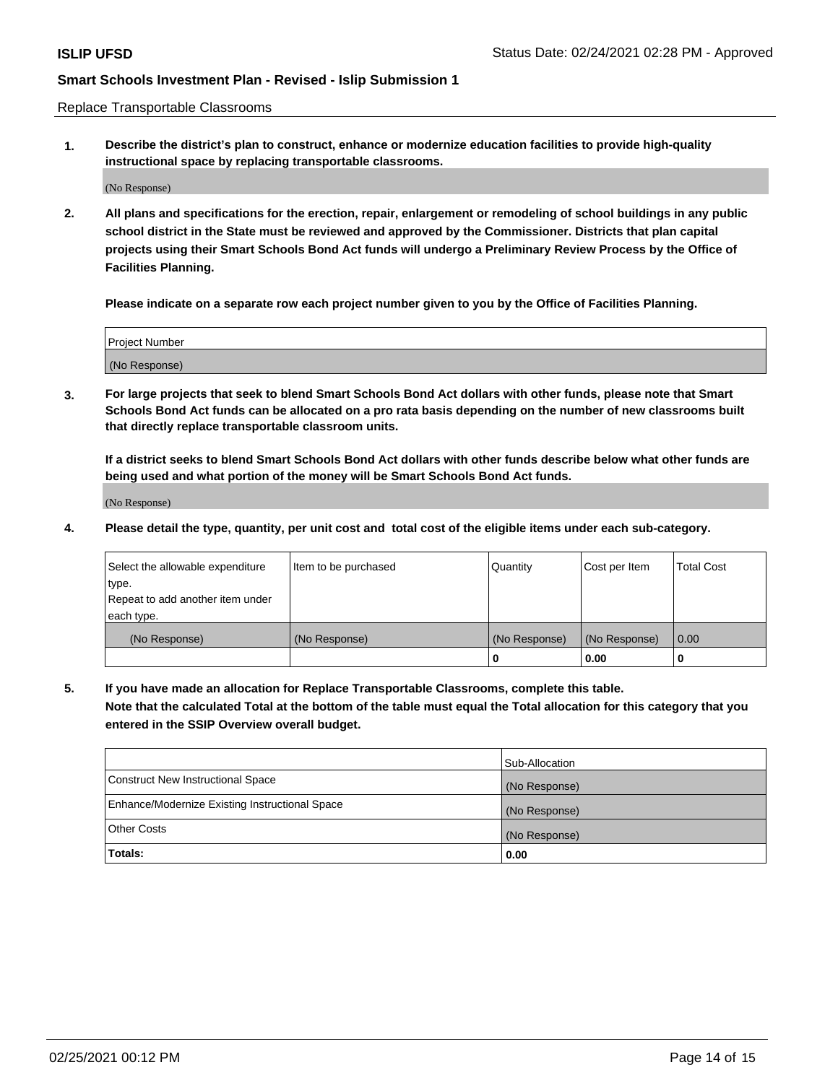Replace Transportable Classrooms

**1. Describe the district's plan to construct, enhance or modernize education facilities to provide high-quality instructional space by replacing transportable classrooms.**

(No Response)

**2. All plans and specifications for the erection, repair, enlargement or remodeling of school buildings in any public school district in the State must be reviewed and approved by the Commissioner. Districts that plan capital projects using their Smart Schools Bond Act funds will undergo a Preliminary Review Process by the Office of Facilities Planning.**

**Please indicate on a separate row each project number given to you by the Office of Facilities Planning.**

| Project Number |  |
|----------------|--|
|                |  |
|                |  |
|                |  |
| (No Response)  |  |
|                |  |
|                |  |

**3. For large projects that seek to blend Smart Schools Bond Act dollars with other funds, please note that Smart Schools Bond Act funds can be allocated on a pro rata basis depending on the number of new classrooms built that directly replace transportable classroom units.**

**If a district seeks to blend Smart Schools Bond Act dollars with other funds describe below what other funds are being used and what portion of the money will be Smart Schools Bond Act funds.**

(No Response)

**4. Please detail the type, quantity, per unit cost and total cost of the eligible items under each sub-category.**

| Select the allowable expenditure | Item to be purchased | Quantity      | Cost per Item | <b>Total Cost</b> |
|----------------------------------|----------------------|---------------|---------------|-------------------|
| ∣type.                           |                      |               |               |                   |
| Repeat to add another item under |                      |               |               |                   |
| each type.                       |                      |               |               |                   |
| (No Response)                    | (No Response)        | (No Response) | (No Response) | 0.00              |
|                                  |                      | 0             | 0.00          |                   |

**5. If you have made an allocation for Replace Transportable Classrooms, complete this table. Note that the calculated Total at the bottom of the table must equal the Total allocation for this category that you entered in the SSIP Overview overall budget.**

|                                                | Sub-Allocation |
|------------------------------------------------|----------------|
| Construct New Instructional Space              | (No Response)  |
| Enhance/Modernize Existing Instructional Space | (No Response)  |
| Other Costs                                    | (No Response)  |
| Totals:                                        | 0.00           |